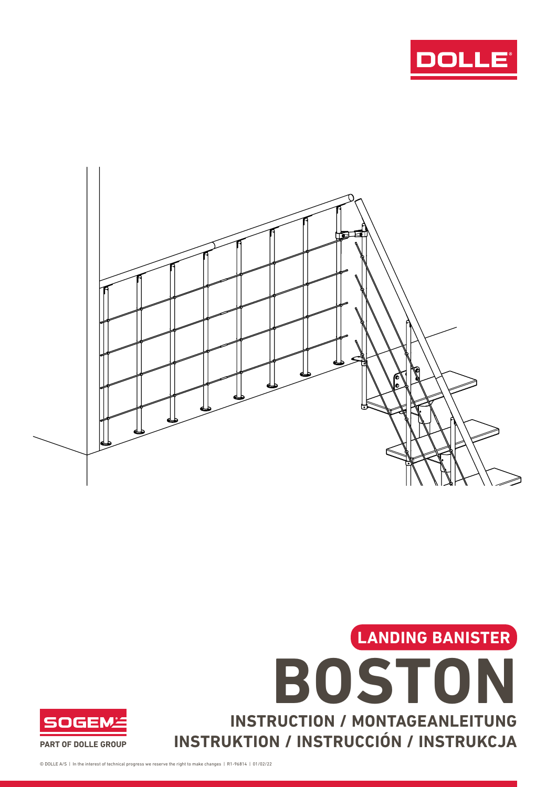





© DOLLE A/S | In the interest of technical progress we reserve the right to make changes | R1-96814 | 01/02/22

**SOGEM**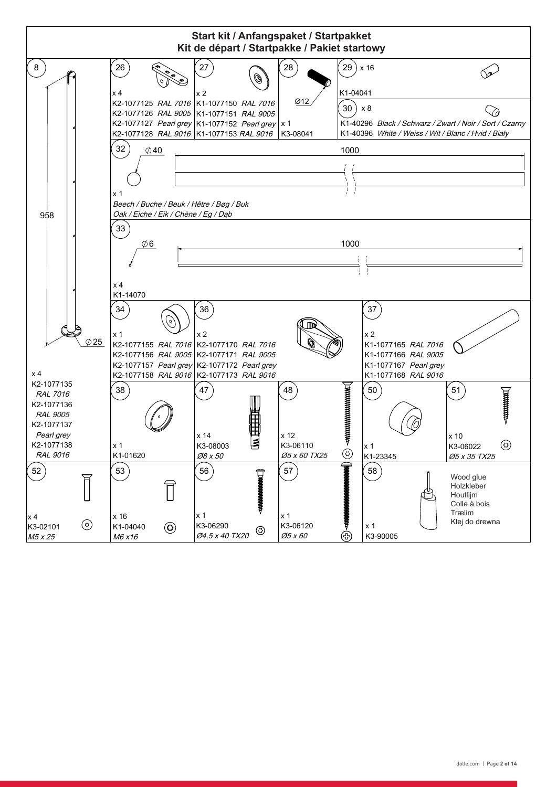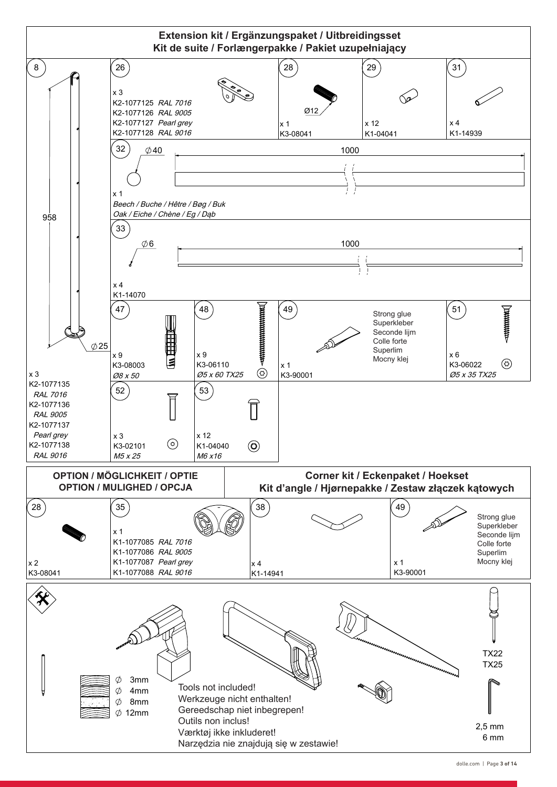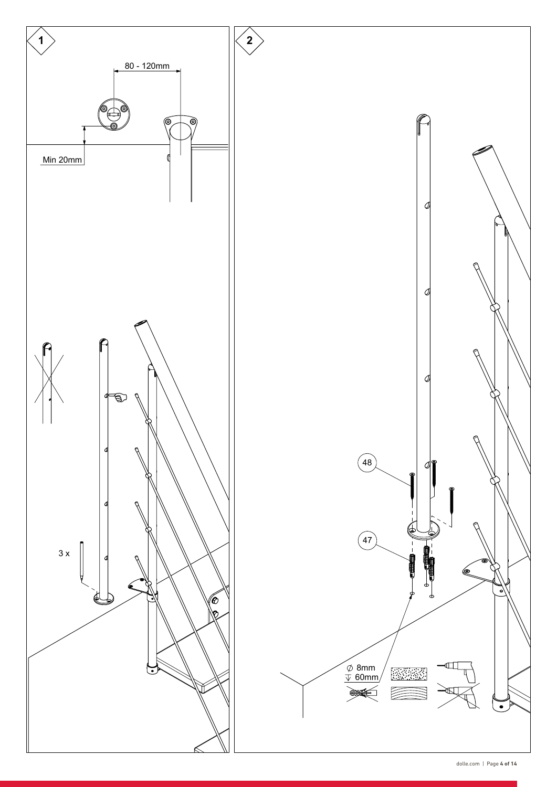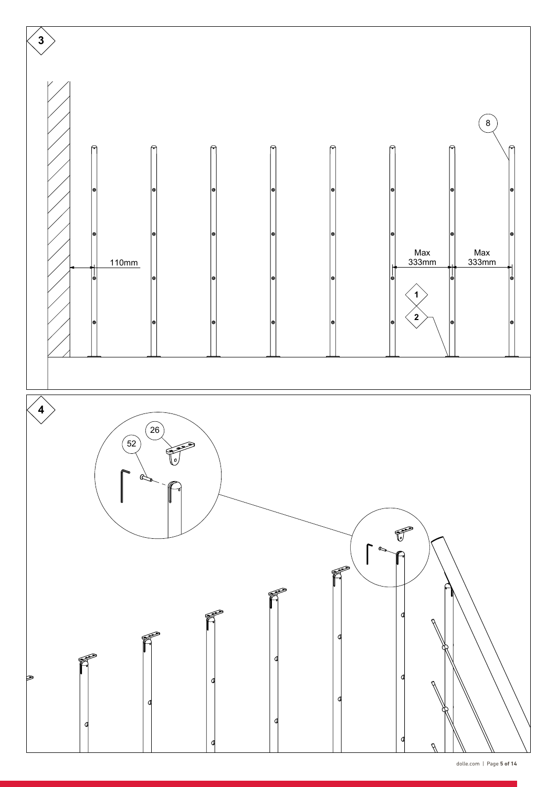

dolle.com | Page **5 of 14**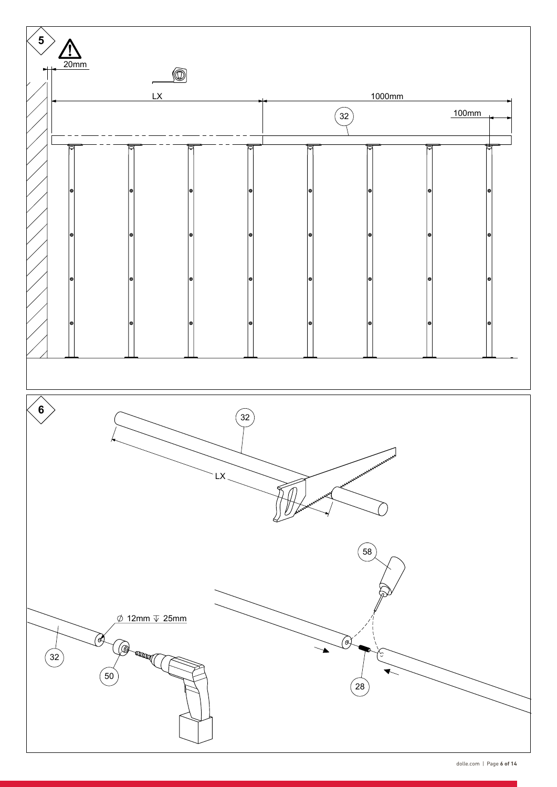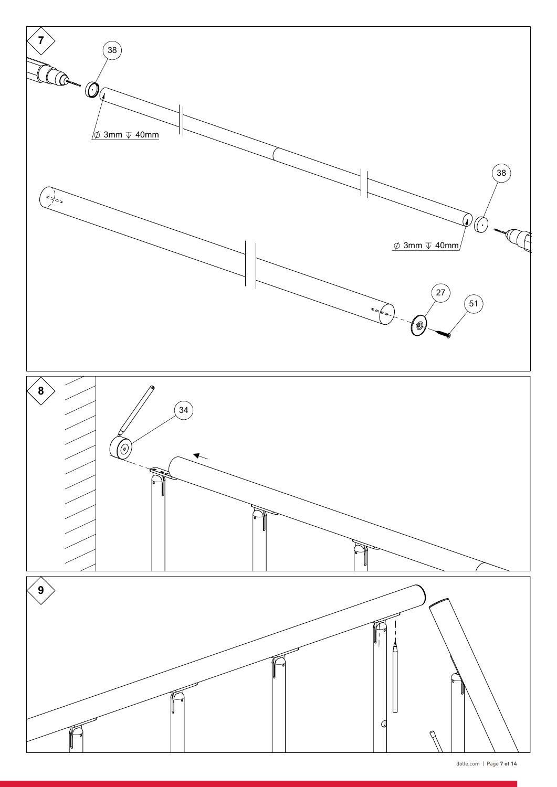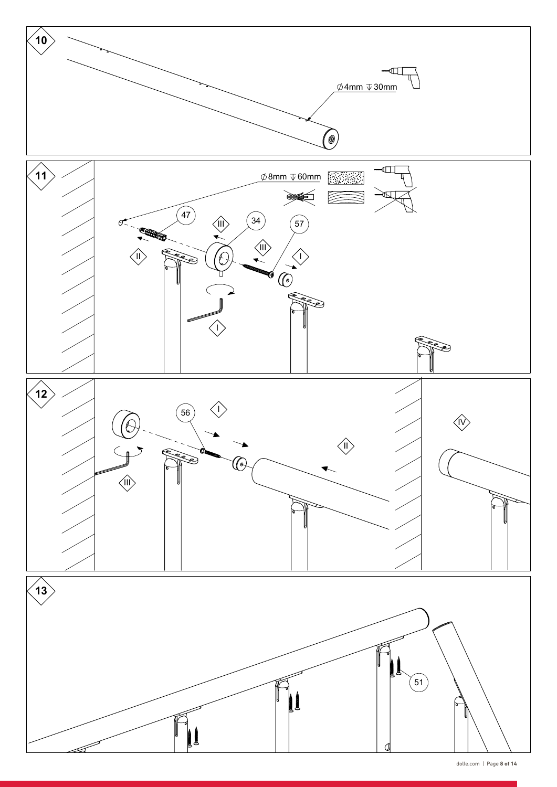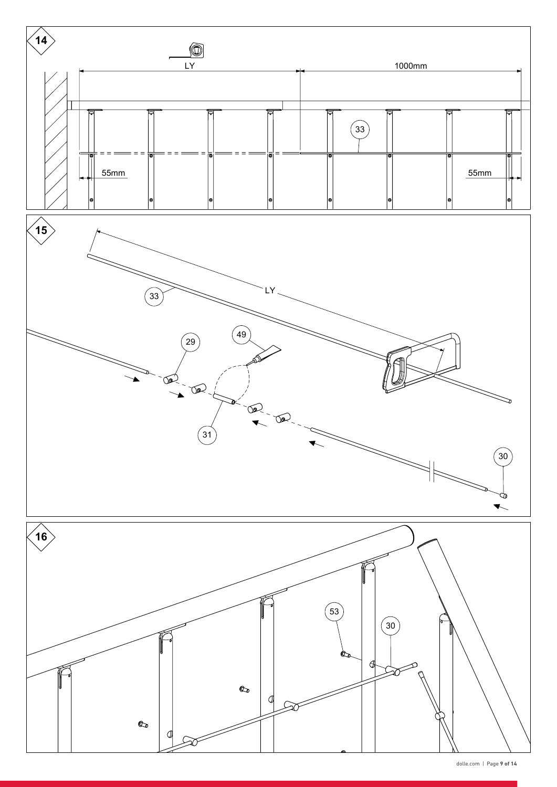

dolle.com | Page **9 of 14**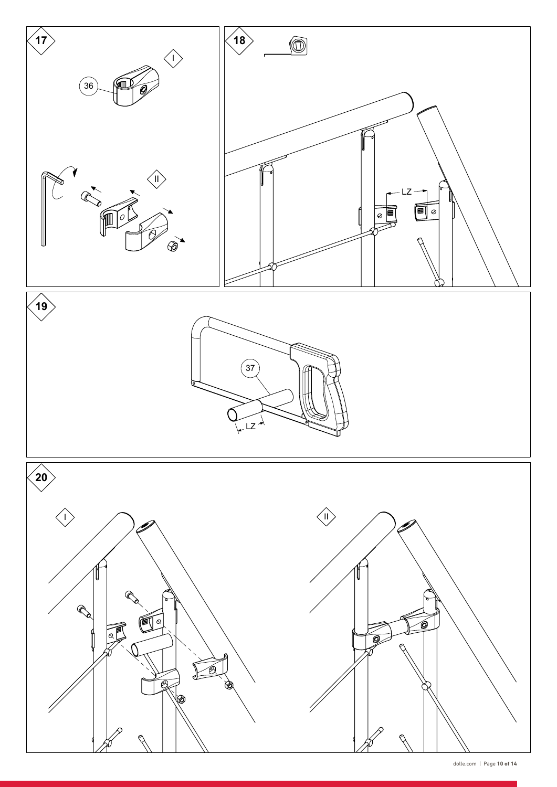

dolle.com | Page **10 of 14**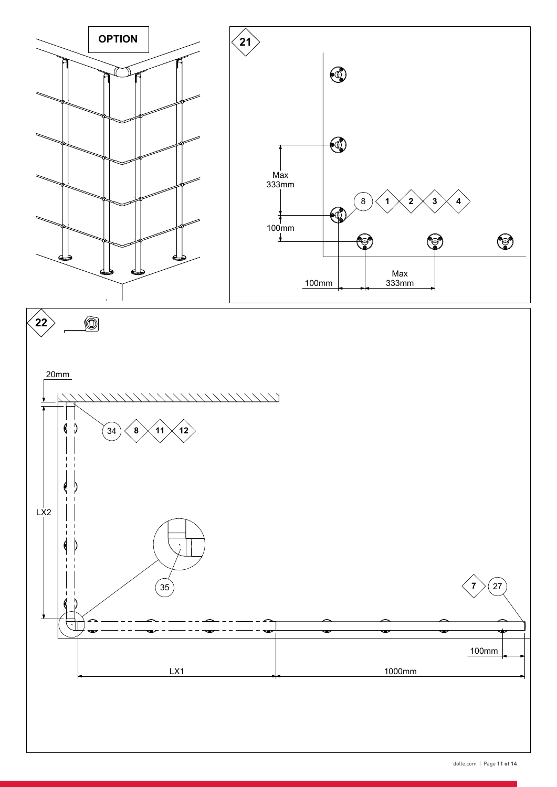

dolle.com | Page **11 of 14**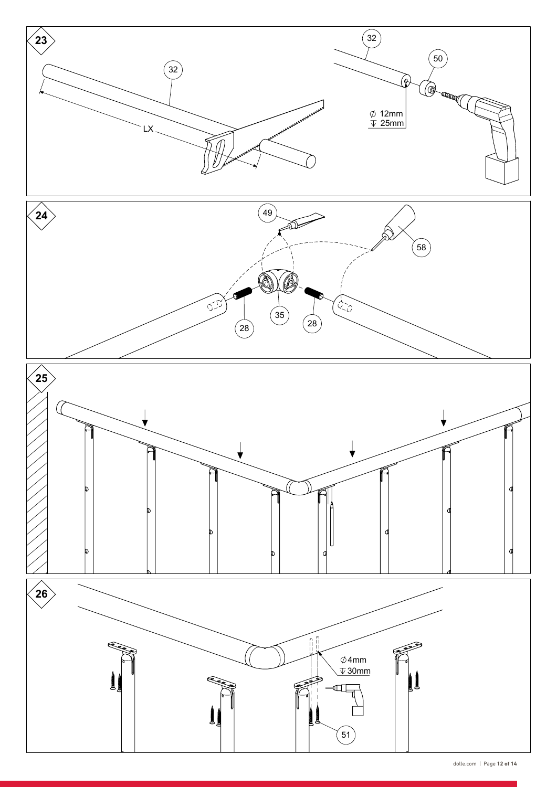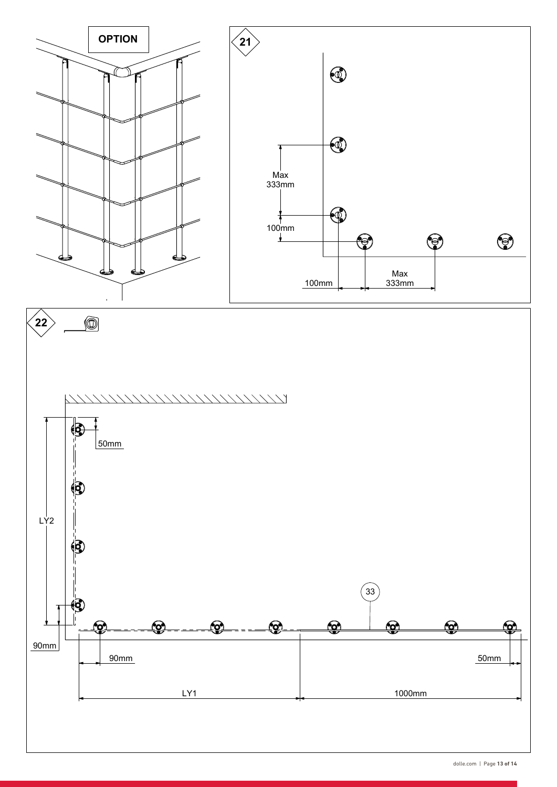